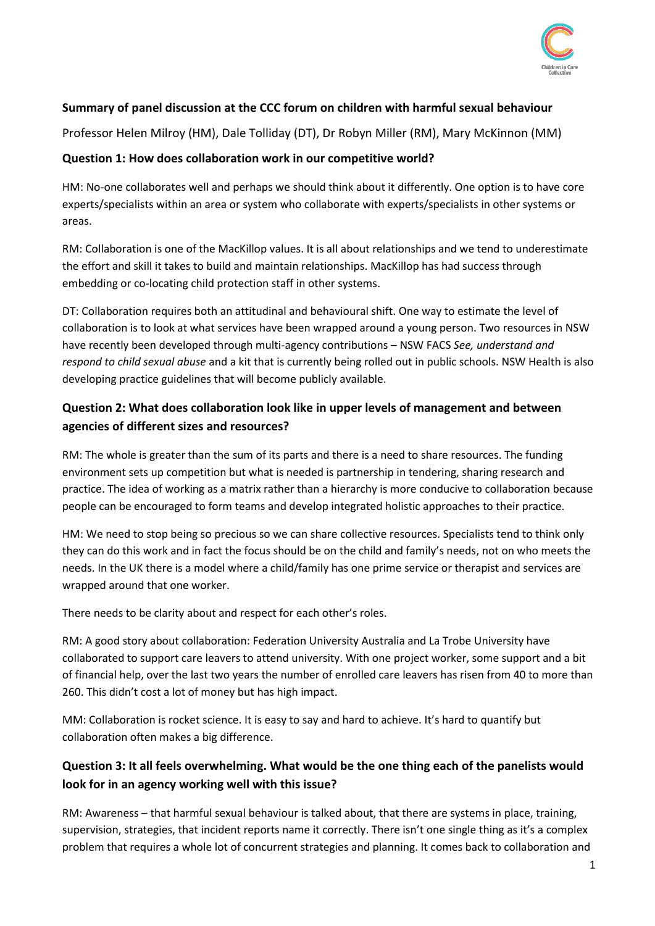

### **Summary of panel discussion at the CCC forum on children with harmful sexual behaviour**

Professor Helen Milroy (HM), Dale Tolliday (DT), Dr Robyn Miller (RM), Mary McKinnon (MM)

#### **Question 1: How does collaboration work in our competitive world?**

HM: No-one collaborates well and perhaps we should think about it differently. One option is to have core experts/specialists within an area or system who collaborate with experts/specialists in other systems or areas.

RM: Collaboration is one of the MacKillop values. It is all about relationships and we tend to underestimate the effort and skill it takes to build and maintain relationships. MacKillop has had success through embedding or co-locating child protection staff in other systems.

DT: Collaboration requires both an attitudinal and behavioural shift. One way to estimate the level of collaboration is to look at what services have been wrapped around a young person. Two resources in NSW have recently been developed through multi-agency contributions – NSW FACS *See, understand and respond to child sexual abuse* and a kit that is currently being rolled out in public schools. NSW Health is also developing practice guidelines that will become publicly available.

### **Question 2: What does collaboration look like in upper levels of management and between agencies of different sizes and resources?**

RM: The whole is greater than the sum of its parts and there is a need to share resources. The funding environment sets up competition but what is needed is partnership in tendering, sharing research and practice. The idea of working as a matrix rather than a hierarchy is more conducive to collaboration because people can be encouraged to form teams and develop integrated holistic approaches to their practice.

HM: We need to stop being so precious so we can share collective resources. Specialists tend to think only they can do this work and in fact the focus should be on the child and family's needs, not on who meets the needs. In the UK there is a model where a child/family has one prime service or therapist and services are wrapped around that one worker.

There needs to be clarity about and respect for each other's roles.

RM: A good story about collaboration: Federation University Australia and La Trobe University have collaborated to support care leavers to attend university. With one project worker, some support and a bit of financial help, over the last two years the number of enrolled care leavers has risen from 40 to more than 260. This didn't cost a lot of money but has high impact.

MM: Collaboration is rocket science. It is easy to say and hard to achieve. It's hard to quantify but collaboration often makes a big difference.

## **Question 3: It all feels overwhelming. What would be the one thing each of the panelists would look for in an agency working well with this issue?**

RM: Awareness – that harmful sexual behaviour is talked about, that there are systems in place, training, supervision, strategies, that incident reports name it correctly. There isn't one single thing as it's a complex problem that requires a whole lot of concurrent strategies and planning. It comes back to collaboration and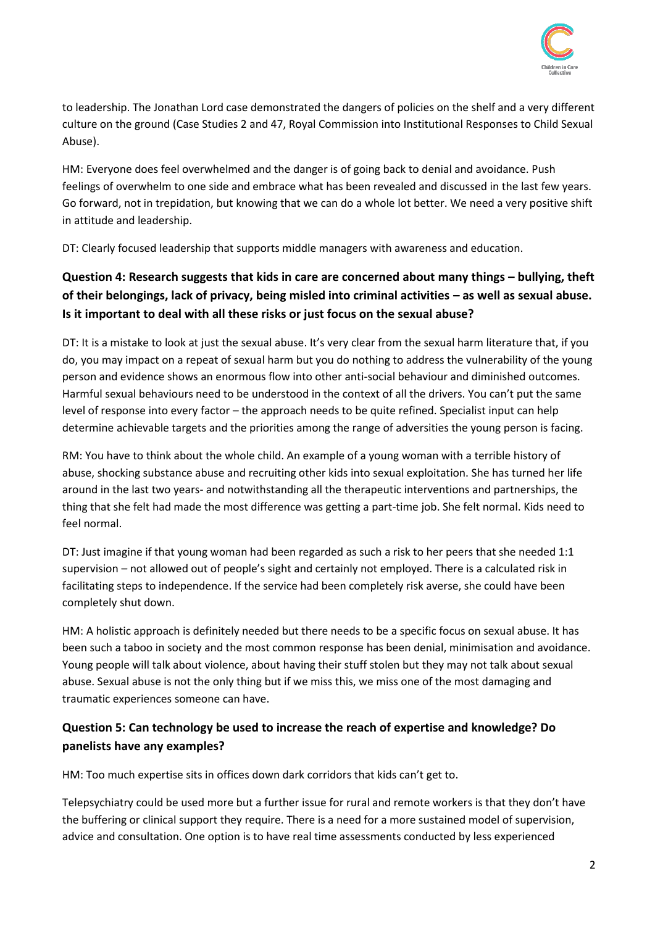

to leadership. The Jonathan Lord case demonstrated the dangers of policies on the shelf and a very different culture on the ground (Case Studies 2 and 47, Royal Commission into Institutional Responses to Child Sexual Abuse).

HM: Everyone does feel overwhelmed and the danger is of going back to denial and avoidance. Push feelings of overwhelm to one side and embrace what has been revealed and discussed in the last few years. Go forward, not in trepidation, but knowing that we can do a whole lot better. We need a very positive shift in attitude and leadership.

DT: Clearly focused leadership that supports middle managers with awareness and education.

# **Question 4: Research suggests that kids in care are concerned about many things – bullying, theft of their belongings, lack of privacy, being misled into criminal activities – as well as sexual abuse. Is it important to deal with all these risks or just focus on the sexual abuse?**

DT: It is a mistake to look at just the sexual abuse. It's very clear from the sexual harm literature that, if you do, you may impact on a repeat of sexual harm but you do nothing to address the vulnerability of the young person and evidence shows an enormous flow into other anti-social behaviour and diminished outcomes. Harmful sexual behaviours need to be understood in the context of all the drivers. You can't put the same level of response into every factor – the approach needs to be quite refined. Specialist input can help determine achievable targets and the priorities among the range of adversities the young person is facing.

RM: You have to think about the whole child. An example of a young woman with a terrible history of abuse, shocking substance abuse and recruiting other kids into sexual exploitation. She has turned her life around in the last two years- and notwithstanding all the therapeutic interventions and partnerships, the thing that she felt had made the most difference was getting a part-time job. She felt normal. Kids need to feel normal.

DT: Just imagine if that young woman had been regarded as such a risk to her peers that she needed 1:1 supervision – not allowed out of people's sight and certainly not employed. There is a calculated risk in facilitating steps to independence. If the service had been completely risk averse, she could have been completely shut down.

HM: A holistic approach is definitely needed but there needs to be a specific focus on sexual abuse. It has been such a taboo in society and the most common response has been denial, minimisation and avoidance. Young people will talk about violence, about having their stuff stolen but they may not talk about sexual abuse. Sexual abuse is not the only thing but if we miss this, we miss one of the most damaging and traumatic experiences someone can have.

## **Question 5: Can technology be used to increase the reach of expertise and knowledge? Do panelists have any examples?**

HM: Too much expertise sits in offices down dark corridors that kids can't get to.

Telepsychiatry could be used more but a further issue for rural and remote workers is that they don't have the buffering or clinical support they require. There is a need for a more sustained model of supervision, advice and consultation. One option is to have real time assessments conducted by less experienced